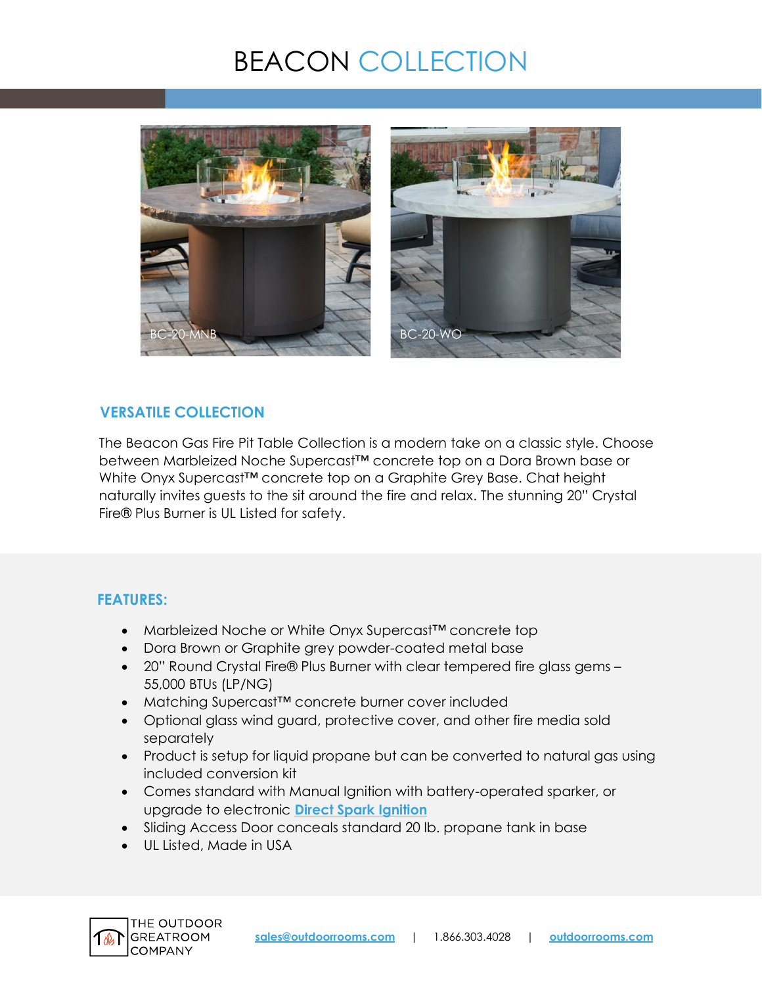# BEACON COLLECTION



## **VERSATILE COLLECTION**

The Beacon Gas Fire Pit Table Collection is a modern take on a classic style. Choose between Marbleized Noche Supercast™ concrete top on a Dora Brown base or White Onyx Supercast<sup>™</sup> concrete top on a Graphite Grey Base. Chat height naturally invites guests to the sit around the fire and relax. The stunning 20" Crystal Fire® Plus Burner is UL Listed for safety.

## **FEATURES:**

- Marbleized Noche or White Onyx Supercast™ concrete top
- Dora Brown or Graphite grey powder-coated metal base
- 20" Round Crystal Fire® Plus Burner with clear tempered fire glass gems 55,000 BTUs (LP/NG)
- Matching Supercast™ concrete burner cover included
- Optional glass wind guard, protective cover, and other fire media sold separately
- Product is setup for liquid propane but can be converted to natural gas using included conversion kit
- Comes standard with Manual Ignition with battery-operated sparker, or upgrade to electronic **[Direct Spark Ignition](https://www.outdoorrooms.com/sites/default/files/files/direct-spark-ignition-info-sheet.pdf)**
- Sliding Access Door conceals standard 20 lb. propane tank in base
- UL Listed, Made in USA